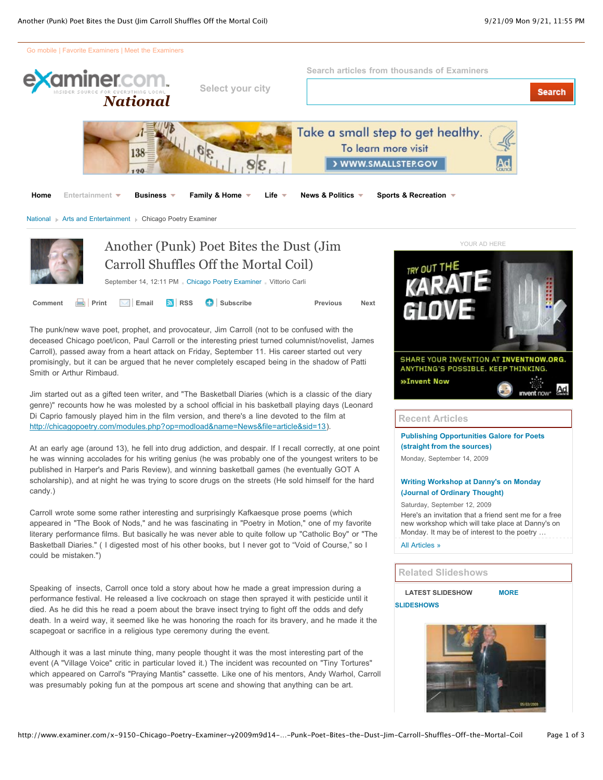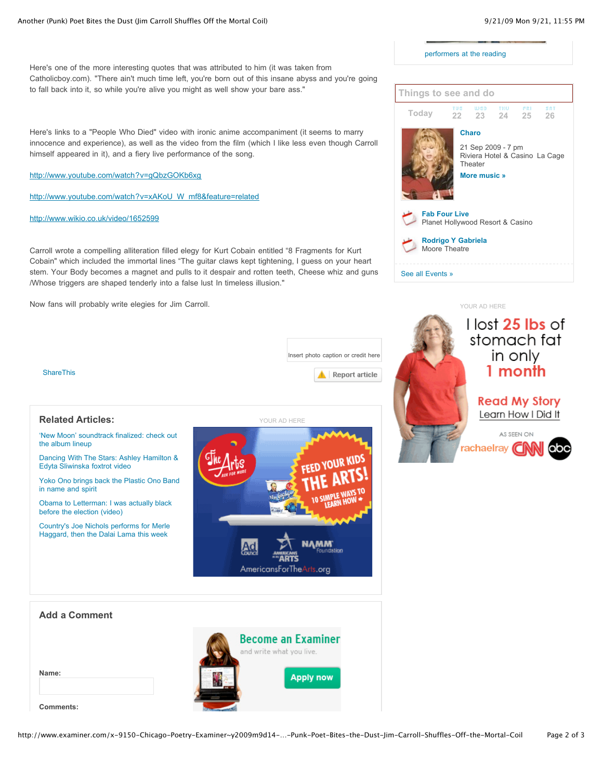performers at the reading



Here's one of the more interesting quotes that was attributed to him (it was taken from Catholicboy.com). "There ain't much time left, you're born out of this insane abyss and you're going to fall back into it, so while you're alive you might as well show your bare ass."

Here's links to a "People Who Died" video with ironic anime accompaniment (it seems to marry innocence and experience), as well as the video from the film (which I like less even though Carroll himself appeared in it), and a fiery live performance of the song.

http://www.youtube.com/watch?v=gQbzGOKb6xg

http://www.youtube.com/watch?v=xAKoU\_W\_mf8&feature=related

http://www.wikio.co.uk/video/1652599

Carroll wrote a compelling alliteration filled elegy for Kurt Cobain entitled "8 Fragments for Kurt Cobain" which included the immortal lines "The guitar claws kept tightening, I guess on your heart stem. Your Body becomes a magnet and pulls to it despair and rotten teeth, Cheese whiz and guns /Whose triggers are shaped tenderly into a false lust In timeless illusion."

Now fans will probably write elegies for Jim Carroll.





YOUR AD HERE

ShareThis

#### **Related Articles:**

#### 'New Moon' soundtrack finalized: check out the album lineup

Dancing With The Stars: Ashley Hamilton & Edyta Sliwinska foxtrot video

Yoko Ono brings back the Plastic Ono Band in name and spirit

Obama to Letterman: I was actually black before the election (video)

Country's Joe Nichols performs for Merle Haggard, then the Dalai Lama this week